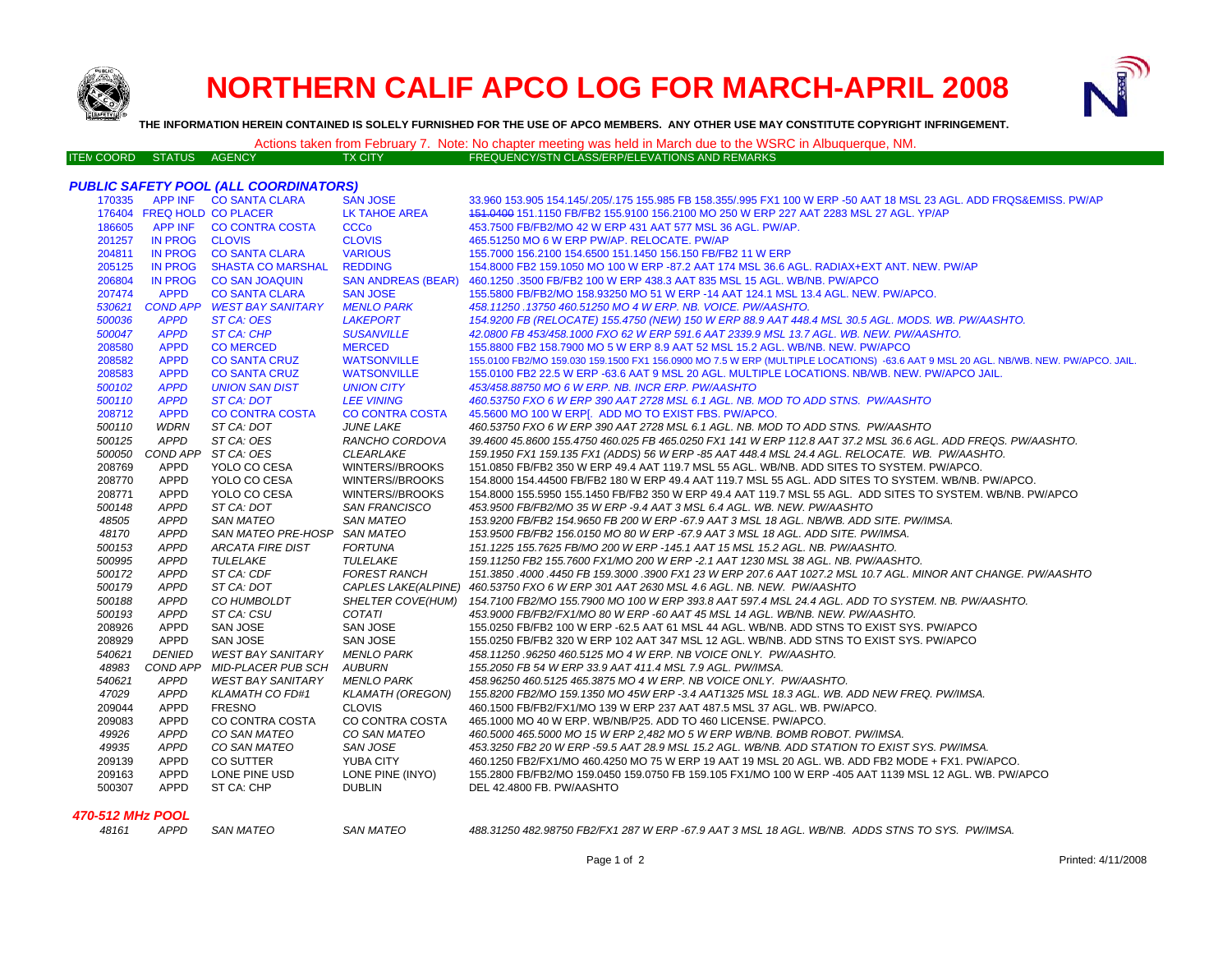

## **NORTHERN CALIF APCO LOG FOR MARCH-APRIL 2008**



**THE INFORMATION HEREIN CONTAINED IS SOLELY FURNISHED FOR THE USE OF APCO MEMBERS. ANY OTHER USE MAY CONSTITUTE COPYRIGHT INFRINGEMENT.**

## Actions taken from February 7. Note: No chapter meeting was held in March due to the WSRC in Albuquerque, NM.<br>EREQUENCY/STN CLASS/ERP/ELEVATIONS AND REMARKS

| ITEN COORD- | STATUS. | AGENCY | TX CITY' | FREQUENCY/STN CLASS/ERP/ELEVATIONS AND REMARKS |
|-------------|---------|--------|----------|------------------------------------------------|
|             |         |        |          |                                                |

|                  |                            | <b>PUBLIC SAFETY POOL (ALL COORDINATORS)</b> |                           |                                                                                                                                   |
|------------------|----------------------------|----------------------------------------------|---------------------------|-----------------------------------------------------------------------------------------------------------------------------------|
|                  |                            | 170335 APP INF CO SANTA CLARA                | <b>SAN JOSE</b>           | 33.960 153.905 154.145/.205/.175 155.985 FB 158.355/.995 FX1 100 W ERP -50 AAT 18 MSL 23 AGL. ADD FRQS&EMISS, PW/AP               |
|                  | 176404 FREQ HOLD CO PLACER |                                              | <b>LK TAHOE AREA</b>      | 151,0400 151,1150 FB/FB2 155,9100 156,2100 MO 250 W ERP 227 AAT 2283 MSL 27 AGL. YP/AP                                            |
| 186605           |                            | APP INF CO CONTRA COSTA                      | <b>CCCo</b>               | 453.7500 FB/FB2/MO 42 W ERP 431 AAT 577 MSL 36 AGL, PW/AP.                                                                        |
| 201257           | IN PROG CLOVIS             |                                              | <b>CLOVIS</b>             | 465.51250 MO 6 W ERP PW/AP. RELOCATE. PW/AP                                                                                       |
| 204811           | IN PROG                    | <b>CO SANTA CLARA</b>                        | <b>VARIOUS</b>            | 155.7000 156.2100 154.6500 151.1450 156.150 FB/FB2 11 W ERP                                                                       |
| 205125           | IN PROG                    | <b>SHASTA CO MARSHAL</b>                     | <b>REDDING</b>            | 154.8000 FB2 159.1050 MO 100 W ERP -87.2 AAT 174 MSL 36.6 AGL. RADIAX+EXT ANT. NEW. PW/AP                                         |
| 206804           | <b>IN PROG</b>             | <b>CO SAN JOAQUIN</b>                        | <b>SAN ANDREAS (BEAR)</b> | 460.1250 .3500 FB/FB2 100 W ERP 438.3 AAT 835 MSL 15 AGL. WB/NB. PW/APCO                                                          |
| 207474           | <b>APPD</b>                | <b>CO SANTA CLARA</b>                        | <b>SAN JOSE</b>           | 155.5800 FB/FB2/MO 158.93250 MO 51 W ERP -14 AAT 124.1 MSL 13.4 AGL. NEW. PW/APCO.                                                |
| 530621           |                            | COND APP WEST BAY SANITARY                   | <b>MENLO PARK</b>         | 458.11250.13750 460.51250 MO 4 W ERP. NB. VOICE. PW/AASHTO.                                                                       |
| 500036           | <b>APPD</b>                | ST CA: OES                                   | <b>LAKEPORT</b>           | 154.9200 FB (RELOCATE) 155.4750 (NEW) 150 W ERP 88.9 AAT 448.4 MSL 30.5 AGL. MODS. WB. PW/AASHTO.                                 |
| 500047           | <b>APPD</b>                | <b>ST CA: CHP</b>                            | <b>SUSANVILLE</b>         | 42.0800 FB 453/458.1000 FXO 62 W ERP 591.6 AAT 2339.9 MSL 13.7 AGL. WB. NEW. PW/AASHTO.                                           |
| 208580           | <b>APPD</b>                | <b>CO MERCED</b>                             | <b>MERCED</b>             | 155.8800 FB2 158.7900 MO 5 W ERP 8.9 AAT 52 MSL 15.2 AGL. WB/NB. NEW. PW/APCO                                                     |
| 208582           | <b>APPD</b>                | <b>CO SANTA CRUZ</b>                         | <b>WATSONVILLE</b>        | 155.0100 FB2/MO 159.030 159.1500 FX1 156.0900 MO 7.5 W ERP (MULTIPLE LOCATIONS) -63.6 AAT 9 MSL 20 AGL. NB/WB. NEW. PW/APCO. JAIL |
| 208583           | <b>APPD</b>                | <b>CO SANTA CRUZ</b>                         | <b>WATSONVILLE</b>        | 155.0100 FB2 22.5 W ERP -63.6 AAT 9 MSL 20 AGL. MULTIPLE LOCATIONS, NB/WB, NEW, PW/APCO JAIL.                                     |
| 500102           | <b>APPD</b>                | <b>UNION SAN DIST</b>                        | <b>UNION CITY</b>         | 453/458.88750 MO 6 W ERP. NB. INCR ERP. PW/AASHTO                                                                                 |
| 500110           | <b>APPD</b>                | <b>ST CA: DOT</b>                            | <b>LEE VINING</b>         | 460.53750 FXO 6 W ERP 390 AAT 2728 MSL 6.1 AGL. NB. MOD TO ADD STNS. PW/AASHTO                                                    |
| 208712           | <b>APPD</b>                | <b>CO CONTRA COSTA</b>                       | <b>CO CONTRA COSTA</b>    | 45.5600 MO 100 W ERP[. ADD MO TO EXIST FBS. PW/APCO.                                                                              |
| 500110           | <b>WDRN</b>                | ST CA: DOT                                   | <b>JUNE LAKE</b>          | 460.53750 FXO 6 W ERP 390 AAT 2728 MSL 6.1 AGL. NB. MOD TO ADD STNS. PW/AASHTO                                                    |
| 500125           | <b>APPD</b>                | ST CA: OES                                   | RANCHO CORDOVA            | 39.4600 45.8600 155.4750 460.025 FB 465.0250 FX1 141 W ERP 112.8 AAT 37.2 MSL 36.6 AGL. ADD FREQS. PW/AASHTO.                     |
| 500050           | COND APP                   | ST CA: OES                                   | <b>CLEARLAKE</b>          | 159.1950 FX1 159.135 FX1 (ADDS) 56 W ERP -85 AAT 448.4 MSL 24.4 AGL. RELOCATE. WB. PW/AASHTO.                                     |
| 208769           | <b>APPD</b>                | YOLO CO CESA                                 | WINTERS//BROOKS           | 151.0850 FB/FB2 350 W ERP 49.4 AAT 119.7 MSL 55 AGL. WB/NB. ADD SITES TO SYSTEM. PW/APCO.                                         |
| 208770           | APPD                       | YOLO CO CESA                                 | WINTERS//BROOKS           | 154.8000 154.44500 FB/FB2 180 W ERP 49.4 AAT 119.7 MSL 55 AGL. ADD SITES TO SYSTEM. WB/NB. PW/APCO.                               |
| 208771           | <b>APPD</b>                | YOLO CO CESA                                 | WINTERS//BROOKS           | 154.8000 155.5950 155.1450 FB/FB2 350 W ERP 49.4 AAT 119.7 MSL 55 AGL. ADD SITES TO SYSTEM. WB/NB. PW/APCO                        |
| 500148           | <b>APPD</b>                | ST CA: DOT                                   | <b>SAN FRANCISCO</b>      | 453.9500 FB/FB2/MO 35 W ERP -9.4 AAT 3 MSL 6.4 AGL. WB. NEW. PW/AASHTO                                                            |
| 48505            | <b>APPD</b>                | <b>SAN MATEO</b>                             | <b>SAN MATEO</b>          | 153.9200 FB/FB2 154.9650 FB 200 W ERP -67.9 AAT 3 MSL 18 AGL. NB/WB. ADD SITE. PW/IMSA.                                           |
| 48170            | <b>APPD</b>                | SAN MATEO PRE-HOSP SAN MATEO                 |                           | 153.9500 FB/FB2 156.0150 MO 80 W ERP -67.9 AAT 3 MSL 18 AGL. ADD SITE. PW/IMSA.                                                   |
| 500153           | <b>APPD</b>                | <b>ARCATA FIRE DIST</b>                      | <b>FORTUNA</b>            | 151.1225 155.7625 FB/MO 200 W ERP -145.1 AAT 15 MSL 15.2 AGL. NB. PW/AASHTO.                                                      |
| 500995           | <b>APPD</b>                | TULELAKE                                     | TULELAKE                  | 159.11250 FB2 155.7600 FX1/MO 200 W ERP -2.1 AAT 1230 MSL 38 AGL. NB. PW/AASHTO.                                                  |
| 500172           | <b>APPD</b>                | ST CA: CDF                                   | <b>FOREST RANCH</b>       | 151.3850 .4000 .4450 FB 159.3000 .3900 FX1 23 W ERP 207.6 AAT 1027.2 MSL 10.7 AGL. MINOR ANT CHANGE. PW/AASHTO                    |
| 500179           | <b>APPD</b>                | ST CA: DOT                                   |                           | CAPLES LAKE(ALPINE) 460.53750 FXO 6 W ERP 301 AAT 2630 MSL 4.6 AGL. NB. NEW. PW/AASHTO                                            |
| 500188           | <b>APPD</b>                | CO HUMBOLDT                                  | <b>SHELTER COVE(HUM)</b>  | 154.7100 FB2/MO 155.7900 MO 100 W ERP 393.8 AAT 597.4 MSL 24.4 AGL. ADD TO SYSTEM. NB. PW/AASHTO.                                 |
| 500193           | <b>APPD</b>                | ST CA: CSU                                   | COTATI                    | 453.9000 FB/FB2/FX1/MO 80 W ERP -60 AAT 45 MSL 14 AGL. WB/NB. NEW. PW/AASHTO.                                                     |
| 208926           | <b>APPD</b>                | <b>SAN JOSE</b>                              | <b>SAN JOSE</b>           | 155.0250 FB/FB2 100 W ERP -62.5 AAT 61 MSL 44 AGL. WB/NB. ADD STNS TO EXIST SYS. PW/APCO                                          |
| 208929           | <b>APPD</b>                | <b>SAN JOSE</b>                              | <b>SAN JOSE</b>           | 155.0250 FB/FB2 320 W ERP 102 AAT 347 MSL 12 AGL. WB/NB. ADD STNS TO EXIST SYS. PW/APCO                                           |
| 540621           | <b>DENIED</b>              | WEST BAY SANITARY                            | <b>MENLO PARK</b>         | 458.11250.96250 460.5125 MO 4 W ERP. NB VOICE ONLY. PW/AASHTO.                                                                    |
| 48983            | COND APP                   | MID-PLACER PUB SCH                           | AUBURN                    | 155.2050 FB 54 W ERP 33.9 AAT 411.4 MSL 7.9 AGL. PW/IMSA.                                                                         |
| 540621           | <b>APPD</b>                | <b>WEST BAY SANITARY</b>                     | MENLO PARK                | 458.96250 460.5125 465.3875 MO 4 W ERP. NB VOICE ONLY. PW/AASHTO.                                                                 |
| 47029            | <b>APPD</b>                | <b>KLAMATH CO FD#1</b>                       | <b>KLAMATH (OREGON)</b>   | 155.8200 FB2/MO 159.1350 MO 45W ERP -3.4 AAT1325 MSL 18.3 AGL. WB. ADD NEW FREQ. PW/IMSA.                                         |
| 209044           | <b>APPD</b>                | FRESNO                                       | <b>CLOVIS</b>             | 460.1500 FB/FB2/FX1/MO 139 W ERP 237 AAT 487.5 MSL 37 AGL. WB. PW/APCO.                                                           |
| 209083           | <b>APPD</b>                | CO CONTRA COSTA                              | CO CONTRA COSTA           | 465.1000 MO 40 W ERP. WB/NB/P25. ADD TO 460 LICENSE. PW/APCO.                                                                     |
| 49926            | <b>APPD</b>                | CO SAN MATEO                                 | CO SAN MATEO              | 460.5000 465.5000 MO 15 W ERP 2,482 MO 5 W ERP WB/NB. BOMB ROBOT. PW/IMSA.                                                        |
| 49935            | <b>APPD</b>                | CO SAN MATEO                                 | SAN JOSE                  | 453.3250 FB2 20 W ERP -59.5 AAT 28.9 MSL 15.2 AGL. WB/NB. ADD STATION TO EXIST SYS. PW/IMSA.                                      |
| 209139           | <b>APPD</b>                | CO SUTTER                                    | YUBA CITY                 | 460.1250 FB2/FX1/MO 460.4250 MO 75 W ERP 19 AAT 19 MSL 20 AGL. WB. ADD FB2 MODE + FX1. PW/APCO.                                   |
| 209163           | <b>APPD</b>                | LONE PINE USD                                | LONE PINE (INYO)          | 155.2800 FB/FB2/MO 159.0450 159.0750 FB 159.105 FX1/MO 100 W ERP -405 AAT 1139 MSL 12 AGL. WB. PW/APCO                            |
| 500307           | <b>APPD</b>                | ST CA: CHP                                   | <b>DUBLIN</b>             | DEL 42.4800 FB. PW/AASHTO                                                                                                         |
| 470-512 MHz POOL |                            |                                              |                           |                                                                                                                                   |

48161 APPD